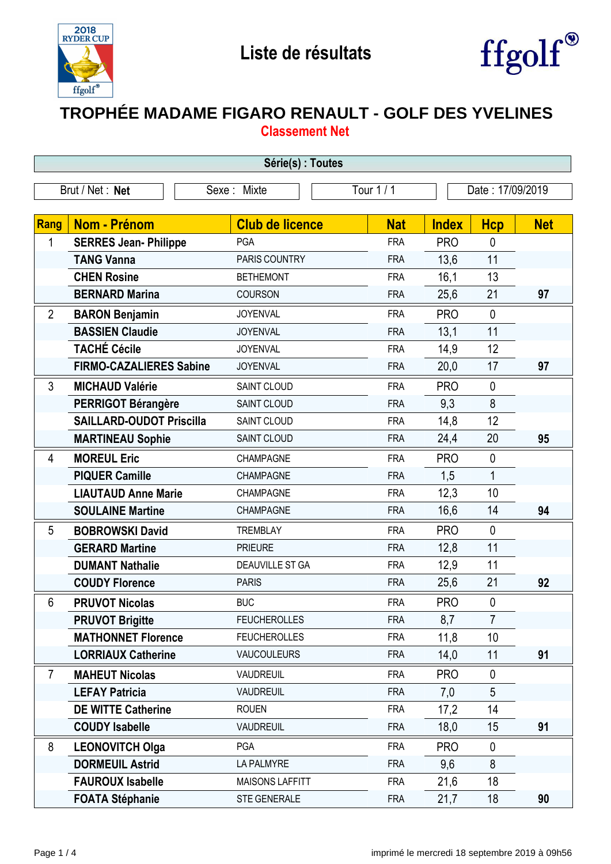



## **TROPHÉE MADAME FIGARO RENAULT - GOLF DES YVELINES Classement Net**

| Série(s) : Toutes |                                 |                        |            |                  |                |            |  |
|-------------------|---------------------------------|------------------------|------------|------------------|----------------|------------|--|
|                   | Brut / Net: Net                 | Sexe: Mixte            | Tour 1 / 1 | Date: 17/09/2019 |                |            |  |
|                   |                                 |                        |            |                  |                |            |  |
| Rang              | <b>Nom - Prénom</b>             | <b>Club de licence</b> | <b>Nat</b> | <b>Index</b>     | <b>Hcp</b>     | <b>Net</b> |  |
| 1                 | <b>SERRES Jean- Philippe</b>    | <b>PGA</b>             | <b>FRA</b> | <b>PRO</b>       | 0              |            |  |
|                   | <b>TANG Vanna</b>               | PARIS COUNTRY          | <b>FRA</b> | 13,6             | 11             |            |  |
|                   | <b>CHEN Rosine</b>              | <b>BETHEMONT</b>       | <b>FRA</b> | 16,1             | 13             |            |  |
|                   | <b>BERNARD Marina</b>           | <b>COURSON</b>         | <b>FRA</b> | 25,6             | 21             | 97         |  |
| $\overline{2}$    | <b>BARON Benjamin</b>           | <b>JOYENVAL</b>        | <b>FRA</b> | <b>PRO</b>       | $\mathbf 0$    |            |  |
|                   | <b>BASSIEN Claudie</b>          | <b>JOYENVAL</b>        | <b>FRA</b> | 13,1             | 11             |            |  |
|                   | <b>TACHÉ Cécile</b>             | <b>JOYENVAL</b>        | <b>FRA</b> | 14,9             | 12             |            |  |
|                   | <b>FIRMO-CAZALIERES Sabine</b>  | <b>JOYENVAL</b>        | <b>FRA</b> | 20,0             | 17             | 97         |  |
| $\mathfrak{Z}$    | <b>MICHAUD Valérie</b>          | SAINT CLOUD            | <b>FRA</b> | <b>PRO</b>       | $\mathbf 0$    |            |  |
|                   | <b>PERRIGOT Bérangère</b>       | SAINT CLOUD            | <b>FRA</b> | 9,3              | 8              |            |  |
|                   | <b>SAILLARD-OUDOT Priscilla</b> | SAINT CLOUD            | <b>FRA</b> | 14,8             | 12             |            |  |
|                   | <b>MARTINEAU Sophie</b>         | SAINT CLOUD            | <b>FRA</b> | 24,4             | 20             | 95         |  |
| $\overline{4}$    | <b>MOREUL Eric</b>              | CHAMPAGNE              | <b>FRA</b> | <b>PRO</b>       | $\pmb{0}$      |            |  |
|                   | <b>PIQUER Camille</b>           | CHAMPAGNE              | <b>FRA</b> | 1,5              | $\mathbf{1}$   |            |  |
|                   | <b>LIAUTAUD Anne Marie</b>      | CHAMPAGNE              | <b>FRA</b> | 12,3             | 10             |            |  |
|                   | <b>SOULAINE Martine</b>         | CHAMPAGNE              | <b>FRA</b> | 16,6             | 14             | 94         |  |
| 5                 | <b>BOBROWSKI David</b>          | <b>TREMBLAY</b>        | <b>FRA</b> | <b>PRO</b>       | $\mathbf 0$    |            |  |
|                   | <b>GERARD Martine</b>           | <b>PRIEURE</b>         | <b>FRA</b> | 12,8             | 11             |            |  |
|                   | <b>DUMANT Nathalie</b>          | <b>DEAUVILLE ST GA</b> | <b>FRA</b> | 12,9             | 11             |            |  |
|                   | <b>COUDY Florence</b>           | <b>PARIS</b>           | <b>FRA</b> | 25,6             | 21             | 92         |  |
| 6                 | <b>PRUVOT Nicolas</b>           | <b>BUC</b>             | <b>FRA</b> | <b>PRO</b>       | $\mathbf 0$    |            |  |
|                   | <b>PRUVOT Brigitte</b>          | <b>FEUCHEROLLES</b>    | <b>FRA</b> | 8,7              | $\overline{7}$ |            |  |
|                   | <b>MATHONNET Florence</b>       | <b>FEUCHEROLLES</b>    | <b>FRA</b> | 11,8             | 10             |            |  |
|                   | <b>LORRIAUX Catherine</b>       | <b>VAUCOULEURS</b>     | <b>FRA</b> | 14,0             | 11             | 91         |  |
| $\overline{7}$    | <b>MAHEUT Nicolas</b>           | <b>VAUDREUIL</b>       | <b>FRA</b> | <b>PRO</b>       | $\mathbf 0$    |            |  |
|                   | <b>LEFAY Patricia</b>           | <b>VAUDREUIL</b>       | <b>FRA</b> | 7,0              | 5              |            |  |
|                   | <b>DE WITTE Catherine</b>       | <b>ROUEN</b>           | <b>FRA</b> | 17,2             | 14             |            |  |
|                   | <b>COUDY Isabelle</b>           | <b>VAUDREUIL</b>       | <b>FRA</b> | 18,0             | 15             | 91         |  |
| 8                 | <b>LEONOVITCH Olga</b>          | PGA                    | <b>FRA</b> | <b>PRO</b>       | $\mathbf 0$    |            |  |
|                   | <b>DORMEUIL Astrid</b>          | LA PALMYRE             | <b>FRA</b> | 9,6              | 8              |            |  |
|                   | <b>FAUROUX Isabelle</b>         | <b>MAISONS LAFFITT</b> | <b>FRA</b> | 21,6             | 18             |            |  |
|                   | <b>FOATA Stéphanie</b>          | <b>STE GENERALE</b>    | <b>FRA</b> | 21,7             | 18             | 90         |  |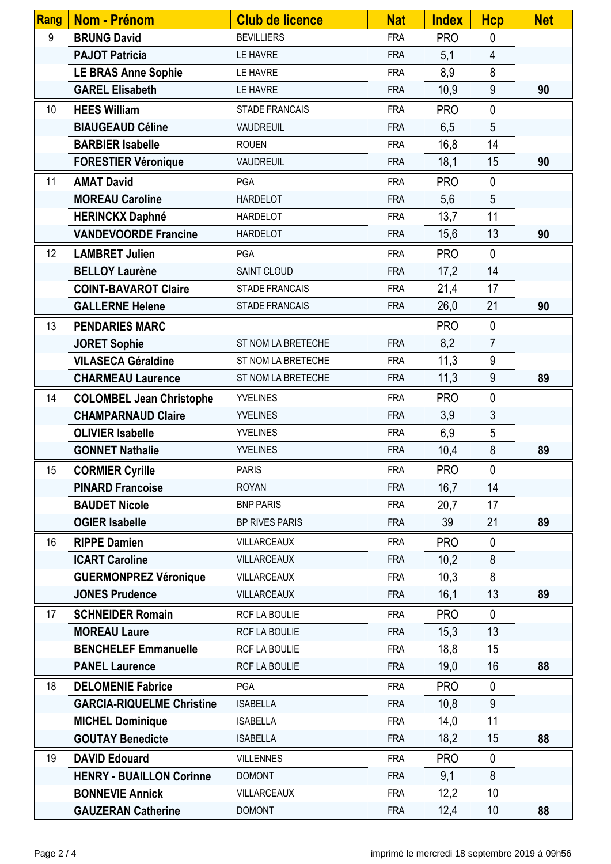| Rang | <b>Nom - Prénom</b>              | <b>Club de licence</b> | <b>Nat</b> | <b>Index</b> | <b>Hcp</b>     | <b>Net</b> |
|------|----------------------------------|------------------------|------------|--------------|----------------|------------|
| 9    | <b>BRUNG David</b>               | <b>BEVILLIERS</b>      | <b>FRA</b> | <b>PRO</b>   | 0              |            |
|      | <b>PAJOT Patricia</b>            | LE HAVRE               | <b>FRA</b> | 5,1          | $\overline{4}$ |            |
|      | <b>LE BRAS Anne Sophie</b>       | LE HAVRE               | <b>FRA</b> | 8,9          | 8              |            |
|      | <b>GAREL Elisabeth</b>           | LE HAVRE               | <b>FRA</b> | 10,9         | 9              | 90         |
| 10   | <b>HEES William</b>              | <b>STADE FRANCAIS</b>  | <b>FRA</b> | <b>PRO</b>   | $\mathbf 0$    |            |
|      | <b>BIAUGEAUD Céline</b>          | <b>VAUDREUIL</b>       | <b>FRA</b> | 6,5          | 5              |            |
|      | <b>BARBIER Isabelle</b>          | <b>ROUEN</b>           | <b>FRA</b> | 16,8         | 14             |            |
|      | <b>FORESTIER Véronique</b>       | <b>VAUDREUIL</b>       | <b>FRA</b> | 18,1         | 15             | 90         |
| 11   | <b>AMAT David</b>                | PGA                    | <b>FRA</b> | <b>PRO</b>   | $\mathbf 0$    |            |
|      | <b>MOREAU Caroline</b>           | <b>HARDELOT</b>        | <b>FRA</b> | 5,6          | 5              |            |
|      | <b>HERINCKX Daphné</b>           | <b>HARDELOT</b>        | <b>FRA</b> | 13,7         | 11             |            |
|      | <b>VANDEVOORDE Francine</b>      | <b>HARDELOT</b>        | <b>FRA</b> | 15,6         | 13             | 90         |
| 12   | <b>LAMBRET Julien</b>            | PGA                    | <b>FRA</b> | <b>PRO</b>   | $\mathbf{0}$   |            |
|      | <b>BELLOY Laurène</b>            | <b>SAINT CLOUD</b>     | <b>FRA</b> | 17,2         | 14             |            |
|      | <b>COINT-BAVAROT Claire</b>      | <b>STADE FRANCAIS</b>  | <b>FRA</b> | 21,4         | 17             |            |
|      | <b>GALLERNE Helene</b>           | <b>STADE FRANCAIS</b>  | <b>FRA</b> | 26,0         | 21             | 90         |
| 13   | <b>PENDARIES MARC</b>            |                        |            | <b>PRO</b>   | $\mathbf{0}$   |            |
|      | <b>JORET Sophie</b>              | ST NOM LA BRETECHE     | <b>FRA</b> | 8,2          | $\overline{7}$ |            |
|      | <b>VILASECA Géraldine</b>        | ST NOM LA BRETECHE     | <b>FRA</b> | 11,3         | 9              |            |
|      | <b>CHARMEAU Laurence</b>         | ST NOM LA BRETECHE     | <b>FRA</b> | 11,3         | 9              | 89         |
| 14   | <b>COLOMBEL Jean Christophe</b>  | <b>YVELINES</b>        | <b>FRA</b> | <b>PRO</b>   | $\mathbf 0$    |            |
|      | <b>CHAMPARNAUD Claire</b>        | <b>YVELINES</b>        | <b>FRA</b> | 3,9          | $\mathfrak{Z}$ |            |
|      | <b>OLIVIER Isabelle</b>          | <b>YVELINES</b>        | <b>FRA</b> | 6,9          | 5              |            |
|      | <b>GONNET Nathalie</b>           | <b>YVELINES</b>        | <b>FRA</b> | 10,4         | 8              | 89         |
| 15   | <b>CORMIER Cyrille</b>           | <b>PARIS</b>           | <b>FRA</b> | <b>PRO</b>   | $\mathbf 0$    |            |
|      | <b>PINARD Francoise</b>          | <b>ROYAN</b>           | <b>FRA</b> | 16,7         | 14             |            |
|      | <b>BAUDET Nicole</b>             | <b>BNP PARIS</b>       | <b>FRA</b> | 20,7         | 17             |            |
|      | <b>OGIER Isabelle</b>            | <b>BP RIVES PARIS</b>  | <b>FRA</b> | 39           | 21             | 89         |
| 16   | <b>RIPPE Damien</b>              | <b>VILLARCEAUX</b>     | <b>FRA</b> | <b>PRO</b>   | $\mathbf 0$    |            |
|      | <b>ICART Caroline</b>            | <b>VILLARCEAUX</b>     | <b>FRA</b> | 10,2         | 8              |            |
|      | <b>GUERMONPREZ Véronique</b>     | <b>VILLARCEAUX</b>     | <b>FRA</b> | 10,3         | 8              |            |
|      | <b>JONES Prudence</b>            | <b>VILLARCEAUX</b>     | <b>FRA</b> | 16,1         | 13             | 89         |
| 17   | <b>SCHNEIDER Romain</b>          | RCF LA BOULIE          | <b>FRA</b> | <b>PRO</b>   | $\mathbf 0$    |            |
|      | <b>MOREAU Laure</b>              | <b>RCF LA BOULIE</b>   | <b>FRA</b> | 15,3         | 13             |            |
|      | <b>BENCHELEF Emmanuelle</b>      | <b>RCF LA BOULIE</b>   | <b>FRA</b> | 18,8         | 15             |            |
|      | <b>PANEL Laurence</b>            | RCF LA BOULIE          | <b>FRA</b> | 19,0         | 16             | 88         |
| 18   | <b>DELOMENIE Fabrice</b>         | PGA                    | <b>FRA</b> | <b>PRO</b>   | $\mathbf 0$    |            |
|      | <b>GARCIA-RIQUELME Christine</b> | <b>ISABELLA</b>        | <b>FRA</b> | 10,8         | 9              |            |
|      | <b>MICHEL Dominique</b>          | <b>ISABELLA</b>        | <b>FRA</b> | 14,0         | 11             |            |
|      | <b>GOUTAY Benedicte</b>          | <b>ISABELLA</b>        | <b>FRA</b> | 18,2         | 15             | 88         |
| 19   | <b>DAVID Edouard</b>             | <b>VILLENNES</b>       | <b>FRA</b> | <b>PRO</b>   | $\mathbf{0}$   |            |
|      | <b>HENRY - BUAILLON Corinne</b>  | <b>DOMONT</b>          | <b>FRA</b> | 9,1          | 8              |            |
|      | <b>BONNEVIE Annick</b>           | <b>VILLARCEAUX</b>     | <b>FRA</b> | 12,2         | 10             |            |
|      | <b>GAUZERAN Catherine</b>        | <b>DOMONT</b>          | <b>FRA</b> | 12,4         | 10             | 88         |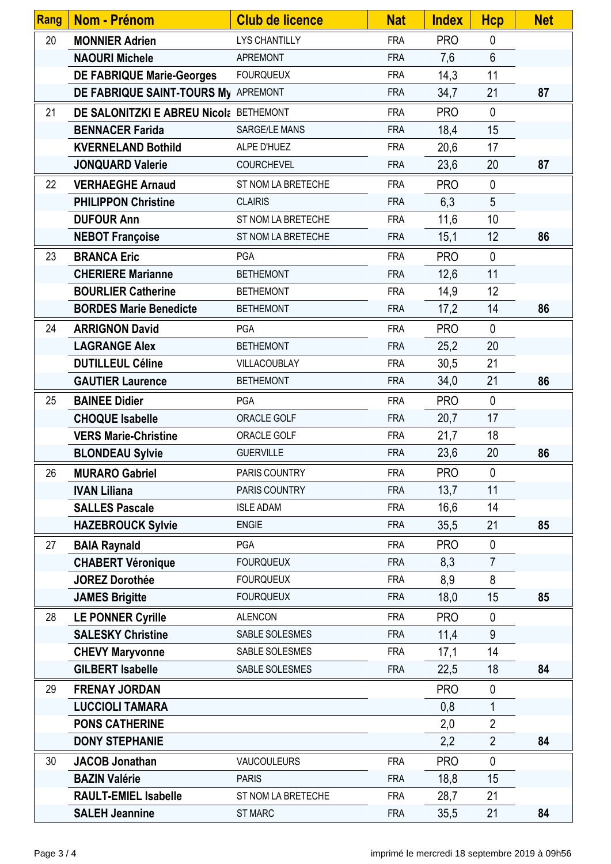| <b>Rang</b> | Nom - Prénom                           | <b>Club de licence</b> | <b>Nat</b> | <b>Index</b> | <b>Hcp</b>      | <b>Net</b> |
|-------------|----------------------------------------|------------------------|------------|--------------|-----------------|------------|
| 20          | <b>MONNIER Adrien</b>                  | <b>LYS CHANTILLY</b>   | <b>FRA</b> | <b>PRO</b>   | $\mathbf{0}$    |            |
|             | <b>NAOURI Michele</b>                  | <b>APREMONT</b>        | <b>FRA</b> | 7,6          | $6\phantom{.}6$ |            |
|             | <b>DE FABRIQUE Marie-Georges</b>       | <b>FOURQUEUX</b>       | <b>FRA</b> | 14,3         | 11              |            |
|             | DE FABRIQUE SAINT-TOURS My APREMONT    |                        | <b>FRA</b> | 34,7         | 21              | 87         |
| 21          | DE SALONITZKI E ABREU Nicola BETHEMONT |                        | <b>FRA</b> | <b>PRO</b>   | $\mathbf{0}$    |            |
|             | <b>BENNACER Farida</b>                 | <b>SARGE/LE MANS</b>   | <b>FRA</b> | 18,4         | 15              |            |
|             | <b>KVERNELAND Bothild</b>              | ALPE D'HUEZ            | <b>FRA</b> | 20,6         | 17              |            |
|             | <b>JONQUARD Valerie</b>                | <b>COURCHEVEL</b>      | <b>FRA</b> | 23,6         | 20              | 87         |
| 22          | <b>VERHAEGHE Arnaud</b>                | ST NOM LA BRETECHE     | <b>FRA</b> | <b>PRO</b>   | $\mathbf{0}$    |            |
|             | <b>PHILIPPON Christine</b>             | <b>CLAIRIS</b>         | <b>FRA</b> | 6,3          | 5               |            |
|             | <b>DUFOUR Ann</b>                      | ST NOM LA BRETECHE     | <b>FRA</b> | 11,6         | 10              |            |
|             | <b>NEBOT Françoise</b>                 | ST NOM LA BRETECHE     | <b>FRA</b> | 15,1         | 12              | 86         |
| 23          | <b>BRANCA Eric</b>                     | PGA                    | <b>FRA</b> | <b>PRO</b>   | $\mathbf 0$     |            |
|             | <b>CHERIERE Marianne</b>               | <b>BETHEMONT</b>       | <b>FRA</b> | 12,6         | 11              |            |
|             | <b>BOURLIER Catherine</b>              | <b>BETHEMONT</b>       | <b>FRA</b> | 14,9         | 12              |            |
|             | <b>BORDES Marie Benedicte</b>          | <b>BETHEMONT</b>       | <b>FRA</b> | 17,2         | 14              | 86         |
| 24          | <b>ARRIGNON David</b>                  | PGA                    | <b>FRA</b> | <b>PRO</b>   | $\mathbf{0}$    |            |
|             | <b>LAGRANGE Alex</b>                   | <b>BETHEMONT</b>       | <b>FRA</b> | 25,2         | 20              |            |
|             | <b>DUTILLEUL Céline</b>                | VILLACOUBLAY           | <b>FRA</b> | 30,5         | 21              |            |
|             | <b>GAUTIER Laurence</b>                | <b>BETHEMONT</b>       | <b>FRA</b> | 34,0         | 21              | 86         |
| 25          | <b>BAINEE Didier</b>                   | <b>PGA</b>             | <b>FRA</b> | <b>PRO</b>   | $\mathbf{0}$    |            |
|             | <b>CHOQUE Isabelle</b>                 | ORACLE GOLF            | <b>FRA</b> | 20,7         | 17              |            |
|             | <b>VERS Marie-Christine</b>            | ORACLE GOLF            | <b>FRA</b> | 21,7         | 18              |            |
|             | <b>BLONDEAU Sylvie</b>                 | <b>GUERVILLE</b>       | <b>FRA</b> | 23,6         | 20              | 86         |
| 26          | <b>MURARO Gabriel</b>                  | PARIS COUNTRY          | <b>FRA</b> | <b>PRO</b>   | $\mathbf 0$     |            |
|             | <b>IVAN Liliana</b>                    | PARIS COUNTRY          | <b>FRA</b> | 13,7         | 11              |            |
|             | <b>SALLES Pascale</b>                  | <b>ISLE ADAM</b>       | <b>FRA</b> | 16,6         | 14              |            |
|             | <b>HAZEBROUCK Sylvie</b>               | <b>ENGIE</b>           | <b>FRA</b> | 35,5         | 21              | 85         |
| 27          | <b>BAIA Raynald</b>                    | <b>PGA</b>             | <b>FRA</b> | <b>PRO</b>   | $\mathbf 0$     |            |
|             | <b>CHABERT Véronique</b>               | <b>FOURQUEUX</b>       | <b>FRA</b> | 8,3          | $\overline{7}$  |            |
|             | <b>JOREZ Dorothée</b>                  | <b>FOURQUEUX</b>       | <b>FRA</b> | 8,9          | 8               |            |
|             | <b>JAMES Brigitte</b>                  | <b>FOURQUEUX</b>       | <b>FRA</b> | 18,0         | 15              | 85         |
| 28          | <b>LE PONNER Cyrille</b>               | <b>ALENCON</b>         | <b>FRA</b> | <b>PRO</b>   | $\mathbf{0}$    |            |
|             | <b>SALESKY Christine</b>               | SABLE SOLESMES         | <b>FRA</b> | 11,4         | 9               |            |
|             | <b>CHEVY Maryvonne</b>                 | SABLE SOLESMES         | <b>FRA</b> | 17,1         | 14              |            |
|             | <b>GILBERT Isabelle</b>                | SABLE SOLESMES         | <b>FRA</b> | 22,5         | 18              | 84         |
| 29          | <b>FRENAY JORDAN</b>                   |                        |            | <b>PRO</b>   | $\mathbf 0$     |            |
|             | <b>LUCCIOLI TAMARA</b>                 |                        |            | 0,8          | $\mathbf 1$     |            |
|             | <b>PONS CATHERINE</b>                  |                        |            | 2,0          | $\overline{2}$  |            |
|             | <b>DONY STEPHANIE</b>                  |                        |            | 2,2          | $\overline{2}$  | 84         |
| 30          | <b>JACOB Jonathan</b>                  | VAUCOULEURS            | <b>FRA</b> | <b>PRO</b>   | $\mathbf 0$     |            |
|             | <b>BAZIN Valérie</b>                   | <b>PARIS</b>           | <b>FRA</b> | 18,8         | 15              |            |
|             | <b>RAULT-EMIEL Isabelle</b>            | ST NOM LA BRETECHE     | <b>FRA</b> | 28,7         | 21              |            |
|             | <b>SALEH Jeannine</b>                  | <b>ST MARC</b>         | <b>FRA</b> | 35,5         | 21              | 84         |